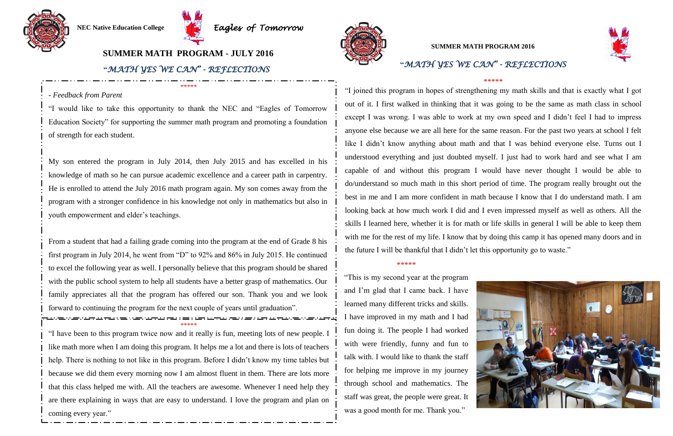### \*\*\*\*\*

"This is my second year at the program and I'm glad that I came back. I have learned many different tricks and skills. I have improved in my math and I had fun doing it. The people I had worked with were friendly, funny and fun to talk with. I would like to thank the staff for helping me improve in my journey through school and mathematics. The staff was great, the people were great. It was a good month for me. Thank you."





### \*\*\*\*\*

"I joined this program in hopes of strengthening my math skills and that is exactly what I got out of it. I first walked in thinking that it was going to be the same as math class in school except I was wrong. I was able to work at my own speed and I didn't feel I had to impress anyone else because we are all here for the same reason. For the past two years at school I felt like I didn't know anything about math and that I was behind everyone else. Turns out I understood everything and just doubted myself. I just had to work hard and see what I am capable of and without this program I would have never thought I would be able to do/understand so much math in this short period of time. The program really brought out the best in me and I am more confident in math because I know that I do understand math. I am looking back at how much work I did and I even impressed myself as well as others. All the skills I learned here, whether it is for math or life skills in general I will be able to keep them with me for the rest of my life. I know that by doing this camp it has opened many doors and in the future I will be thankful that I didn't let this opportunity go to waste."





# **"***MATH YES WE CAN" - REFLECTIONS* **SUMMER MATH PROGRAM 2016**

## **SUMMER MATH PROGRAM - JULY 2016**

\*\*\*\*\* "I have been to this program twice now and it really is fun, meeting lots of new people. I like math more when I am doing this program. It helps me a lot and there is lots of teachers help. There is nothing to not like in this program. Before I didn't know my time tables but because we did them every morning now I am almost fluent in them. There are lots more that this class helped me with. All the teachers are awesome. Whenever I need help they are there explaining in ways that are easy to understand. I love the program and plan on coming every year."



\*\*\*\*\*

### - *Feedback from Parent*

"I would like to take this opportunity to thank the NEC and "Eagles of Tomorrow Education Society" for supporting the summer math program and promoting a foundation of strength for each student.

My son entered the program in July 2014, then July 2015 and has excelled in his knowledge of math so he can pursue academic excellence and a career path in carpentry. He is enrolled to attend the July 2016 math program again. My son comes away from the program with a stronger confidence in his knowledge not only in mathematics but also in youth empowerment and elder's teachings.

From a student that had a failing grade coming into the program at the end of Grade 8 his first program in July 2014, he went from "D" to 92% and 86% in July 2015. He continued to excel the following year as well. I personally believe that this program should be shared with the public school system to help all students have a better grasp of mathematics. Our family appreciates all that the program has offered our son. Thank you and we look forward to continuing the program for the next couple of years until graduation".

### **"***MATH YES WE CAN" - REFLECTIONS*